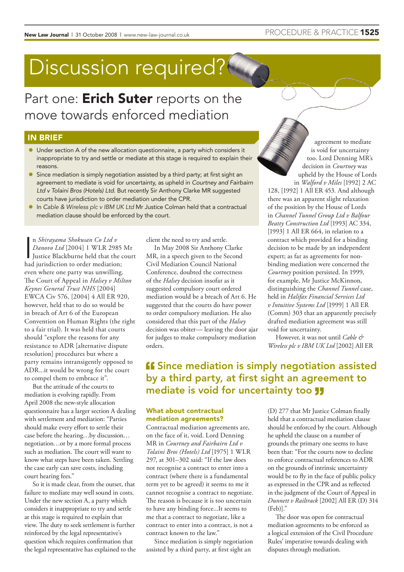# Discussion required?

Part one: **Erich Suter** reports on the move towards enforced mediation

### IN BRIEF

- Under section A of the new allocation questionnaire, a party which considers it inappropriate to try and settle or mediate at this stage is required to explain their reasons.
- **Since mediation is simply negotiation assisted by a third party; at first sight an** agreement to mediate is void for uncertainty, as upheld in Courtney and Fairbairn Ltd v Tolaini Bros (Hotels) Ltd. But recently Sir Anthony Clarke MR suggested courts have jurisdiction to order mediation under the CPR.
- In Cable & Wireless plc v IBM UK Ltd Mr Justice Colman held that a contractual mediation clause should be enforced by the court.

n *Shirayama Shokusan Co Ltd v*<br>Danovo Ltd [2004] 1 WLR 2985<br>Justice Blackburne held that the c<br>had jurisdiction to order mediation; n *Shirayama Shokusan Co Ltd v Danovo Ltd* [2004] 1 WLR 2985 Mr Justice Blackburne held that the court even where one party was unwilling. The Court of Appeal in *Halsey v Milton Keynes General Trust NHS* [2004] EWCA Civ 576, [2004] 4 All ER 920, however, held that to do so would be in breach of Art 6 of the European Convention on Human Rights (the right to a fair trial). It was held that courts should "explore the reasons for any resistance to ADR [alternative dispute resolution] procedures but where a party remains intransigently opposed to ADR...it would be wrong for the court to compel them to embrace it".

But the attitude of the courts to mediation is evolving rapidly. From April 2008 the new-style allocation questionnaire has a larger section A dealing with settlement and mediation: "Parties should make every effort to settle their case before the hearing…by discussion… negotiation…or by a more formal process such as mediation. The court will want to know what steps have been taken. Settling the case early can save costs, including court hearing fees."

So it is made clear, from the outset, that failure to mediate may well sound in costs. Under the new section A, a party which considers it inappropriate to try and settle at this stage is required to explain that view. The duty to seek settlement is further reinforced by the legal representative's question which requires confirmation that the legal representative has explained to the client the need to try and settle.

In May 2008 Sir Anthony Clarke MR, in a speech given to the Second Civil Mediation Council National Conference, doubted the correctness of the *Halsey* decision insofar as it suggested compulsory court ordered mediation would be a breach of Art 6. He suggested that the courts do have power to order compulsory mediation. He also considered that this part of the *Halsey* decision was obiter— leaving the door ajar for judges to make compulsory mediation orders.

## **ff** Since mediation is simply negotiation assisted by a third party, at first sight an agreement to mediate is void for uncertainty too **JJ**

#### What about contractual mediation agreements?

Contractual mediation agreements are, on the face of it, void. Lord Denning MR in *Courtney and Fairbairn Ltd v Tolaini Bros (Hotels) Ltd* [1975] 1 WLR 297, at 301–302 said: "If the law does not recognise a contract to enter into a contract (where there is a fundamental term yet to be agreed) it seems to me it cannot recognise a contract to negotiate. The reason is because it is too uncertain to have any binding force...It seems to me that a contract to negotiate, like a contract to enter into a contract, is not a contract known to the law."

Since mediation is simply negotiation assisted by a third party, at first sight an

(D) 277 that Mr Justice Colman finally held that a contractual mediation clause should be enforced by the court. Although he upheld the clause on a number of grounds the primary one seems to have been that: "For the courts now to decline to enforce contractual references to ADR on the grounds of intrinsic uncertainty would be to fly in the face of public policy as expressed in the CPR and as reflected in the judgment of the Court of Appeal in *Dunnett v Railtrack* [2002] All ER (D) 314 (Feb)]."

The door was open for contractual mediation agreements to be enforced as a logical extension of the Civil Procedure Rules' imperative towards dealing with disputes through mediation.

agreement to mediate is void for uncertainty too. Lord Denning MR's decision in *Courtney* was upheld by the House of Lords in *Walford v Miles* [1992] 2 AC 128, [1992] 1 All ER 453*.* And although there was an apparent slight relaxation of the position by the House of Lords in *Channel Tunnel Group Ltd v Balfour Beatty Construction Ltd* [1993] AC 334, [1993] 1 All ER 664, in relation to a contract which provided for a binding decision to be made by an independent expert; as far as agreements for nonbinding mediation were concerned the *Courtney* position persisted. In 1999, for example, Mr Justice McKinnon, distinguishing the *Channel Tunnel* case, held in *Halifax Financial Services Ltd v Intuitive Systems Ltd* [1999] 1 All ER (Comm) 303 that an apparently precisely drafted mediation agreement was still void for uncertainty.

However, it was not until *Cable & Wireless plc v IBM UK Ltd* [2002] All ER